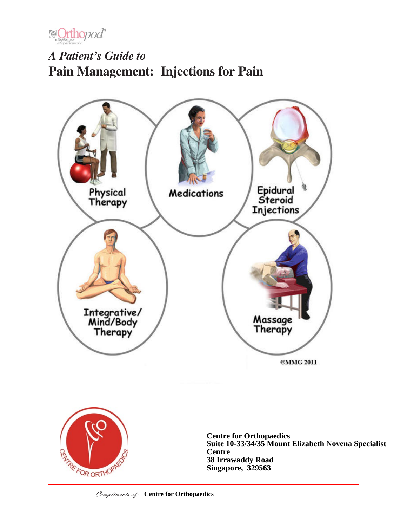

# *A Patient's Guide to* **Pain Management: Injections for Pain**



**Centre for Orthopaedics Suite 10-33/34/35 Mount Elizabeth Novena Specialist Centre 38 Irrawaddy Road Singapore, 329563**

RATREFOR ORTHOP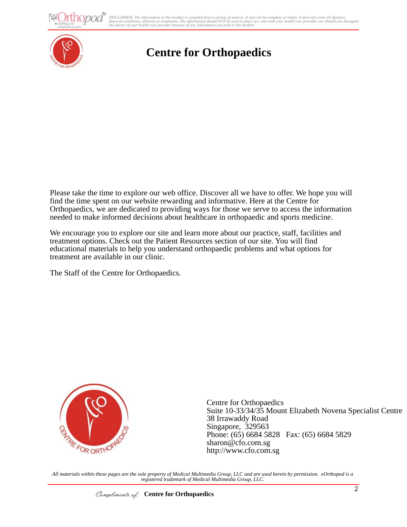thopod<sup>®</sup>

aons, auments or treatments. The information should iver be used in place by a visit with your neatin cl<br>our health care provider because of any information you read in this booklet. DISCLAIMER: The information in this booklet is compiled from a variety of sources. It may not be complete or timely. It does not cover all diseases,<br>physical conditions, ailments or treatments. The information yould NOT be



## **Centre for Orthopaedics**

Please take the time to explore our web office. Discover all we have to offer. We hope you will find the time spent on our website rewarding and informative. Here at the Centre for Orthopaedics, we are dedicated to providing ways for those we serve to access the information needed to make informed decisions about healthcare in orthopaedic and sports medicine.

We encourage you to explore our site and learn more about our practice, staff, facilities and treatment options. Check out the Patient Resources section of our site. You will find educational materials to help you understand orthopaedic problems and what options for treatment are available in our clinic.

The Staff of the Centre for Orthopaedics.



Centre for Orthopaedics Suite 10-33/34/35 Mount Elizabeth Novena Specialist Centre 38 Irrawaddy Road Singapore, 329563 Phone: (65) 6684 5828 Fax: (65) 6684 5829 sharon@cfo.com.sg http://www.cfo.com.sg

*All materials within these pages are the sole property of Medical Multimedia Group, LLC and are used herein by permission. eOrthopod is a registered trademark of Medical Multimedia Group, LLC.*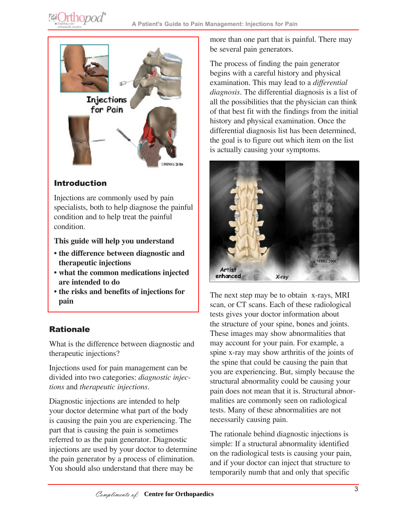

## Introduction

Injections are commonly used by pain specialists, both to help diagnose the painful condition and to help treat the painful condition.

**This guide will help you understand**

- **the difference between diagnostic and therapeutic injections**
- **what the common medications injected are intended to do**
- **the risks and benefits of injections for pain**

## Rationale

What is the difference between diagnostic and therapeutic injections?

Injections used for pain management can be divided into two categories: *diagnostic injections* and *therapeutic injections*.

Diagnostic injections are intended to help your doctor determine what part of the body is causing the pain you are experiencing. The part that is causing the pain is sometimes referred to as the pain generator. Diagnostic injections are used by your doctor to determine the pain generator by a process of elimination. You should also understand that there may be

more than one part that is painful. There may be several pain generators.

The process of finding the pain generator begins with a careful history and physical examination. This may lead to a *differential diagnosis*. The differential diagnosis is a list of all the possibilities that the physician can think of that best fit with the findings from the initial history and physical examination. Once the differential diagnosis list has been determined, the goal is to figure out which item on the list is actually causing your symptoms.



The next step may be to obtain x-rays, MRI scan, or CT scans. Each of these radiological tests gives your doctor information about the structure of your spine, bones and joints. These images may show abnormalities that may account for your pain. For example, a spine x-ray may show arthritis of the joints of the spine that could be causing the pain that you are experiencing. But, simply because the structural abnormality could be causing your pain does not mean that it is. Structural abnormalities are commonly seen on radiological tests. Many of these abnormalities are not necessarily causing pain.

The rationale behind diagnostic injections is simple: If a structural abnormality identified on the radiological tests is causing your pain, and if your doctor can inject that structure to temporarily numb that and only that specific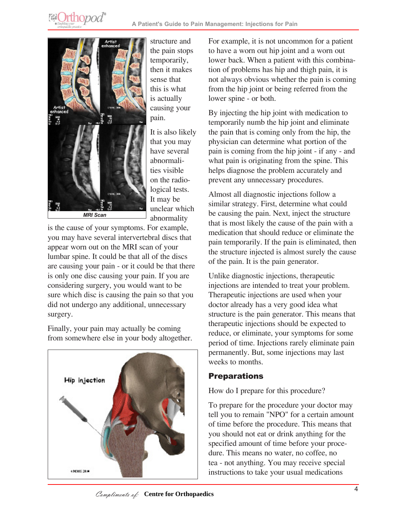**@Orthopod®** 



structure and the pain stops temporarily, then it makes sense that this is what is actually causing your pain.

It is also likely that you may have several abnormalities visible on the radiological tests. It may be unclear which abnormality

is the cause of your symptoms. For example, you may have several intervertebral discs that appear worn out on the MRI scan of your lumbar spine. It could be that all of the discs are causing your pain - or it could be that there is only one disc causing your pain. If you are considering surgery, you would want to be sure which disc is causing the pain so that you did not undergo any additional, unnecessary surgery.

Finally, your pain may actually be coming from somewhere else in your body altogether.



For example, it is not uncommon for a patient to have a worn out hip joint and a worn out lower back. When a patient with this combination of problems has hip and thigh pain, it is not always obvious whether the pain is coming from the hip joint or being referred from the lower spine - or both.

By injecting the hip joint with medication to temporarily numb the hip joint and eliminate the pain that is coming only from the hip, the physician can determine what portion of the pain is coming from the hip joint - if any - and what pain is originating from the spine. This helps diagnose the problem accurately and prevent any unnecessary procedures.

Almost all diagnostic injections follow a similar strategy. First, determine what could be causing the pain. Next, inject the structure that is most likely the cause of the pain with a medication that should reduce or eliminate the pain temporarily. If the pain is eliminated, then the structure injected is almost surely the cause of the pain. It is the pain generator.

Unlike diagnostic injections, therapeutic injections are intended to treat your problem. Therapeutic injections are used when your doctor already has a very good idea what structure is the pain generator. This means that therapeutic injections should be expected to reduce, or eliminate, your symptoms for some period of time. Injections rarely eliminate pain permanently. But, some injections may last weeks to months.

## **Preparations**

How do I prepare for this procedure?

To prepare for the procedure your doctor may tell you to remain "NPO" for a certain amount of time before the procedure. This means that you should not eat or drink anything for the specified amount of time before your procedure. This means no water, no coffee, no tea - not anything. You may receive special instructions to take your usual medications

Compliments of: Centre for Orthopaedics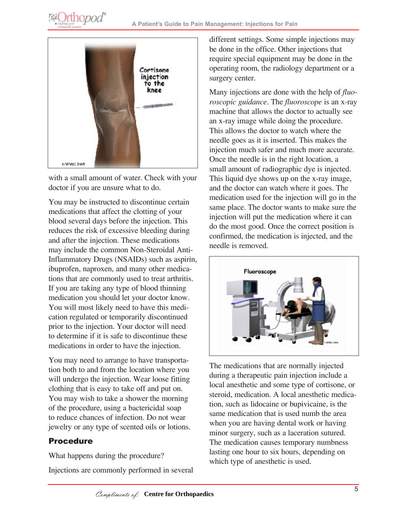



with a small amount of water. Check with your doctor if you are unsure what to do.

You may be instructed to discontinue certain medications that affect the clotting of your blood several days before the injection. This reduces the risk of excessive bleeding during and after the injection. These medications may include the common Non-Steroidal Anti-Inflammatory Drugs (NSAIDs) such as aspirin, ibuprofen, naproxen, and many other medications that are commonly used to treat arthritis. If you are taking any type of blood thinning medication you should let your doctor know. You will most likely need to have this medication regulated or temporarily discontinued prior to the injection. Your doctor will need to determine if it is safe to discontinue these medications in order to have the injection.

You may need to arrange to have transportation both to and from the location where you will undergo the injection. Wear loose fitting clothing that is easy to take off and put on. You may wish to take a shower the morning of the procedure, using a bactericidal soap to reduce chances of infection. Do not wear jewelry or any type of scented oils or lotions.

#### Procedure

What happens during the procedure? Injections are commonly performed in several different settings. Some simple injections may be done in the office. Other injections that require special equipment may be done in the operating room, the radiology department or a surgery center.

Many injections are done with the help of *fluoroscopic guidance*. The *fluoroscope* is an x-ray machine that allows the doctor to actually see an x-ray image while doing the procedure. This allows the doctor to watch where the needle goes as it is inserted. This makes the injection much safer and much more accurate. Once the needle is in the right location, a small amount of radiographic dye is injected. This liquid dye shows up on the x-ray image, and the doctor can watch where it goes. The medication used for the injection will go in the same place. The doctor wants to make sure the injection will put the medication where it can do the most good. Once the correct position is confirmed, the medication is injected, and the needle is removed.



The medications that are normally injected during a therapeutic pain injection include a local anesthetic and some type of cortisone, or steroid, medication. A local anesthetic medication, such as lidocaine or bupivicaine, is the same medication that is used numb the area when you are having dental work or having minor surgery, such as a laceration sutured. The medication causes temporary numbness lasting one hour to six hours, depending on which type of anesthetic is used.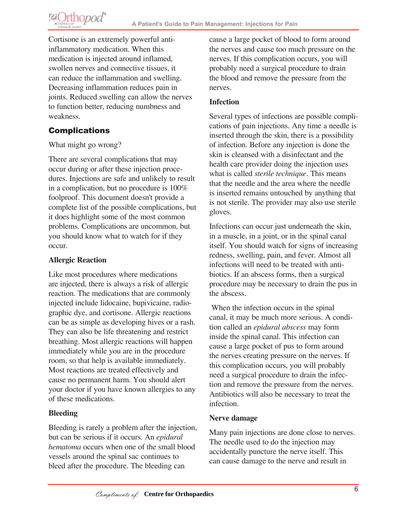**@Orthopod®** 

Cortisone is an extremely powerful antiinflammatory medication. When this medication is injected around inflamed, swollen nerves and connective tissues, it can reduce the inflammation and swelling. Decreasing inflammation reduces pain in joints. Reduced swelling can allow the nerves to function better, reducing numbness and weakness.

## **Complications**

#### What might go wrong?

There are several complications that may occur during or after these injection procedures. Injections are safe and unlikely to result in a complication, but no procedure is 100% foolproof. This document doesn't provide a complete list of the possible complications, but it does highlight some of the most common problems. Complications are uncommon, but you should know what to watch for if they occur.

#### **Allergic Reaction**

Like most procedures where medications are injected, there is always a risk of allergic reaction. The medications that are commonly injected include lidocaine, bupivicaine, radiographic dye, and cortisone. Allergic reactions can be as simple as developing hives or a rash. They can also be life threatening and restrict breathing. Most allergic reactions will happen immediately while you are in the procedure room, so that help is available immediately. Most reactions are treated effectively and cause no permanent harm. You should alert your doctor if you have known allergies to any of these medications.

#### **Bleeding**

Bleeding is rarely a problem after the injection, but can be serious if it occurs. An *epidural hematoma* occurs when one of the small blood vessels around the spinal sac continues to bleed after the procedure. The bleeding can

cause a large pocket of blood to form around the nerves and cause too much pressure on the nerves. If this complication occurs, you will probably need a surgical procedure to drain the blood and remove the pressure from the nerves.

#### **Infection**

Several types of infections are possible complications of pain injections. Any time a needle is inserted through the skin, there is a possibility of infection. Before any injection is done the skin is cleansed with a disinfectant and the health care provider doing the injection uses what is called *sterile technique*. This means that the needle and the area where the needle is inserted remains untouched by anything that is not sterile. The provider may also use sterile gloves.

Infections can occur just underneath the skin, in a muscle, in a joint, or in the spinal canal itself. You should watch for signs of increasing redness, swelling, pain, and fever. Almost all infections will need to be treated with antibiotics. If an abscess forms, then a surgical procedure may be necessary to drain the pus in the abscess.

 When the infection occurs in the spinal canal, it may be much more serious. A condition called an *epidural abscess* may form inside the spinal canal. This infection can cause a large pocket of pus to form around the nerves creating pressure on the nerves. If this complication occurs, you will probably need a surgical procedure to drain the infection and remove the pressure from the nerves. Antibiotics will also be necessary to treat the infection.

#### **Nerve damage**

Many pain injections are done close to nerves. The needle used to do the injection may accidentally puncture the nerve itself. This can cause damage to the nerve and result in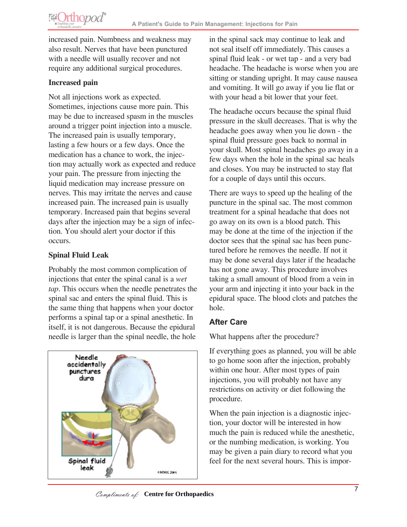**@Orthopod®** 

increased pain. Numbness and weakness may also result. Nerves that have been punctured with a needle will usually recover and not require any additional surgical procedures.

#### **Increased pain**

Not all injections work as expected. Sometimes, injections cause more pain. This may be due to increased spasm in the muscles around a trigger point injection into a muscle. The increased pain is usually temporary, lasting a few hours or a few days. Once the medication has a chance to work, the injection may actually work as expected and reduce your pain. The pressure from injecting the liquid medication may increase pressure on nerves. This may irritate the nerves and cause increased pain. The increased pain is usually temporary. Increased pain that begins several days after the injection may be a sign of infection. You should alert your doctor if this occurs.

#### **Spinal Fluid Leak**

Probably the most common complication of injections that enter the spinal canal is a *wet tap*. This occurs when the needle penetrates the spinal sac and enters the spinal fluid. This is the same thing that happens when your doctor performs a spinal tap or a spinal anesthetic. In itself, it is not dangerous. Because the epidural needle is larger than the spinal needle, the hole



in the spinal sack may continue to leak and not seal itself off immediately. This causes a spinal fluid leak - or wet tap - and a very bad headache. The headache is worse when you are sitting or standing upright. It may cause nausea and vomiting. It will go away if you lie flat or with your head a bit lower that your feet.

The headache occurs because the spinal fluid pressure in the skull decreases. That is why the headache goes away when you lie down - the spinal fluid pressure goes back to normal in your skull. Most spinal headaches go away in a few days when the hole in the spinal sac heals and closes. You may be instructed to stay flat for a couple of days until this occurs.

There are ways to speed up the healing of the puncture in the spinal sac. The most common treatment for a spinal headache that does not go away on its own is a blood patch. This may be done at the time of the injection if the doctor sees that the spinal sac has been punctured before he removes the needle. If not it may be done several days later if the headache has not gone away. This procedure involves taking a small amount of blood from a vein in your arm and injecting it into your back in the epidural space. The blood clots and patches the hole.

## **After Care**

What happens after the procedure?

If everything goes as planned, you will be able to go home soon after the injection, probably within one hour. After most types of pain injections, you will probably not have any restrictions on activity or diet following the procedure.

When the pain injection is a diagnostic injection, your doctor will be interested in how much the pain is reduced while the anesthetic, or the numbing medication, is working. You may be given a pain diary to record what you feel for the next several hours. This is impor-

Compliments of: Centre for Orthopaedics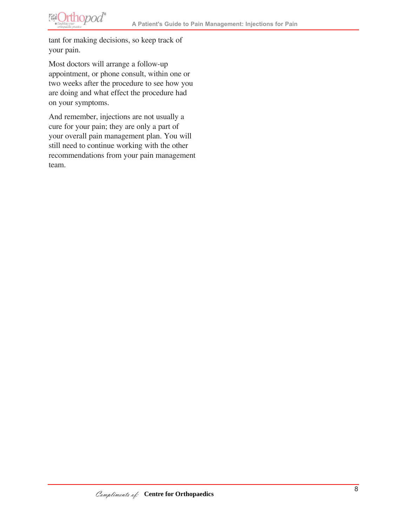**@Orthopod®** 

tant for making decisions, so keep track of your pain.

Most doctors will arrange a follow-up appointment, or phone consult, within one or two weeks after the procedure to see how you are doing and what effect the procedure had on your symptoms.

And remember, injections are not usually a cure for your pain; they are only a part of your overall pain management plan. You will still need to continue working with the other recommendations from your pain management team.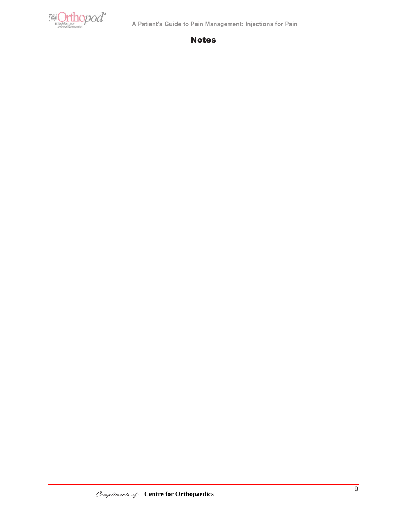**El Orthopod**<sup>®</sup>

#### Notes